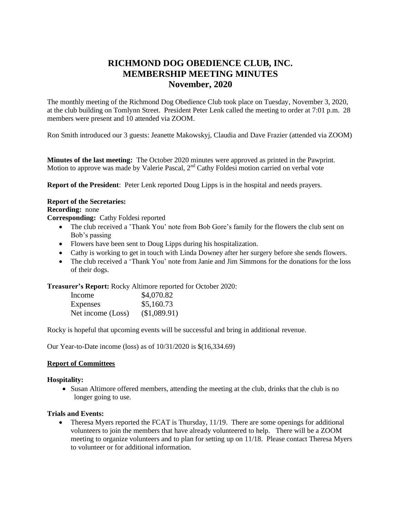# **RICHMOND DOG OBEDIENCE CLUB, INC. MEMBERSHIP MEETING MINUTES November, 2020**

The monthly meeting of the Richmond Dog Obedience Club took place on Tuesday, November 3, 2020, at the club building on Tomlynn Street. President Peter Lenk called the meeting to order at 7:01 p.m. 28 members were present and 10 attended via ZOOM.

Ron Smith introduced our 3 guests: Jeanette Makowskyj, Claudia and Dave Frazier (attended via ZOOM)

**Minutes of the last meeting:** The October 2020 minutes were approved as printed in the Pawprint. Motion to approve was made by Valerie Pascal, 2<sup>nd</sup> Cathy Foldesi motion carried on verbal vote

**Report of the President**: Peter Lenk reported Doug Lipps is in the hospital and needs prayers.

#### **Report of the Secretaries:**

**Recording:** none

**Corresponding:** Cathy Foldesi reported

- The club received a 'Thank You' note from Bob Gore's family for the flowers the club sent on Bob's passing
- Flowers have been sent to Doug Lipps during his hospitalization.
- Cathy is working to get in touch with Linda Downey after her surgery before she sends flowers.
- The club received a 'Thank You' note from Janie and Jim Simmons for the donations for the loss of their dogs.

**Treasurer's Report:** Rocky Altimore reported for October 2020:

| Income            | \$4,070.82   |
|-------------------|--------------|
| Expenses          | \$5,160.73   |
| Net income (Loss) | (\$1,089.91) |

Rocky is hopeful that upcoming events will be successful and bring in additional revenue.

Our Year-to-Date income (loss) as of 10/31/2020 is \$(16,334.69)

## **Report of Committees**

#### **Hospitality:**

 Susan Altimore offered members, attending the meeting at the club, drinks that the club is no longer going to use.

## **Trials and Events:**

 Theresa Myers reported the FCAT is Thursday, 11/19. There are some openings for additional volunteers to join the members that have already volunteered to help. There will be a ZOOM meeting to organize volunteers and to plan for setting up on 11/18. Please contact Theresa Myers to volunteer or for additional information.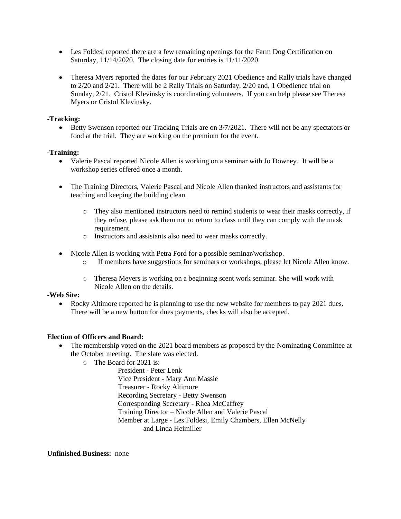- Les Foldesi reported there are a few remaining openings for the Farm Dog Certification on Saturday, 11/14/2020. The closing date for entries is 11/11/2020.
- Theresa Myers reported the dates for our February 2021 Obedience and Rally trials have changed to 2/20 and 2/21. There will be 2 Rally Trials on Saturday, 2/20 and, 1 Obedience trial on Sunday, 2/21. Cristol Klevinsky is coordinating volunteers. If you can help please see Theresa Myers or Cristol Klevinsky.

## **-Tracking:**

 $\bullet$  Betty Swenson reported our Tracking Trials are on  $3/7/2021$ . There will not be any spectators or food at the trial. They are working on the premium for the event.

## **-Training:**

- Valerie Pascal reported Nicole Allen is working on a seminar with Jo Downey. It will be a workshop series offered once a month.
- The Training Directors, Valerie Pascal and Nicole Allen thanked instructors and assistants for teaching and keeping the building clean.
	- o They also mentioned instructors need to remind students to wear their masks correctly, if they refuse, please ask them not to return to class until they can comply with the mask requirement.
	- o Instructors and assistants also need to wear masks correctly.
- Nicole Allen is working with Petra Ford for a possible seminar/workshop.
	- o If members have suggestions for seminars or workshops, please let Nicole Allen know.
	- o Theresa Meyers is working on a beginning scent work seminar. She will work with Nicole Allen on the details.

## **-Web Site:**

• Rocky Altimore reported he is planning to use the new website for members to pay 2021 dues. There will be a new button for dues payments, checks will also be accepted.

## **Election of Officers and Board:**

- The membership voted on the 2021 board members as proposed by the Nominating Committee at the October meeting. The slate was elected.
	- o The Board for 2021 is:

President - Peter Lenk Vice President - Mary Ann Massie Treasurer - Rocky Altimore Recording Secretary - Betty Swenson Corresponding Secretary - Rhea McCaffrey Training Director – Nicole Allen and Valerie Pascal Member at Large - Les Foldesi, Emily Chambers, Ellen McNelly and Linda Heimiller

**Unfinished Business:** none